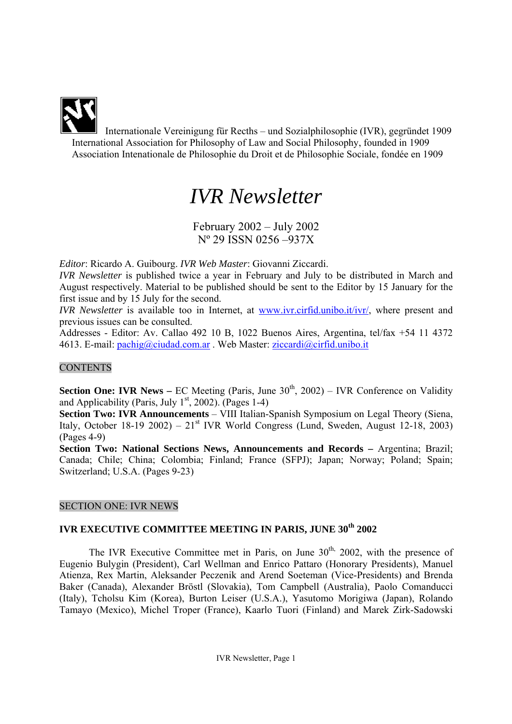Internationale Vereinigung für Recths – und Sozialphilosophie (IVR), gegründet 1909 International Association for Philosophy of Law and Social Philosophy, founded in 1909 Association Intenationale de Philosophie du Droit et de Philosophie Sociale, fondée en 1909

# *IVR Newsletter*

February 2002 – July 2002 Nº 29 ISSN 0256 –937X

*Editor*: Ricardo A. Guibourg. *IVR Web Master*: Giovanni Ziccardi.

*IVR Newsletter* is published twice a year in February and July to be distributed in March and August respectively. Material to be published should be sent to the Editor by 15 January for the first issue and by 15 July for the second.

*IVR Newsletter* is available too in Internet, at www.ivr.cirfid.unibo.it/ivr/, where present and previous issues can be consulted.

Addresses - Editor: Av. Callao 492 10 B, 1022 Buenos Aires, Argentina, tel/fax +54 11 4372 4613. E-mail: pachig@ciudad.com.ar . Web Master: ziccardi@cirfid.unibo.it

# **CONTENTS**

**Section One: IVR News** – EC Meeting (Paris, June 30<sup>th</sup>, 2002) – IVR Conference on Validity and Applicability (Paris, July  $1<sup>st</sup>$ , 2002). (Pages 1-4)

**Section Two: IVR Announcements** – VIII Italian-Spanish Symposium on Legal Theory (Siena, Italy, October 18-19 2002) – 21<sup>st</sup> IVR World Congress (Lund, Sweden, August 12-18, 2003) (Pages 4-9)

**Section Two: National Sections News, Announcements and Records –** Argentina; Brazil; Canada; Chile; China; Colombia; Finland; France (SFPJ); Japan; Norway; Poland; Spain; Switzerland; U.S.A. (Pages 9-23)

# SECTION ONE: IVR NEWS

# **IVR EXECUTIVE COMMITTEE MEETING IN PARIS, JUNE 30th 2002**

The IVR Executive Committee met in Paris, on June  $30<sup>th</sup>$ , 2002, with the presence of Eugenio Bulygin (President), Carl Wellman and Enrico Pattaro (Honorary Presidents), Manuel Atienza, Rex Martin, Aleksander Peczenik and Arend Soeteman (Vice-Presidents) and Brenda Baker (Canada), Alexander Bröstl (Slovakia), Tom Campbell (Australia), Paolo Comanducci (Italy), Tcholsu Kim (Korea), Burton Leiser (U.S.A.), Yasutomo Morigiwa (Japan), Rolando Tamayo (Mexico), Michel Troper (France), Kaarlo Tuori (Finland) and Marek Zirk-Sadowski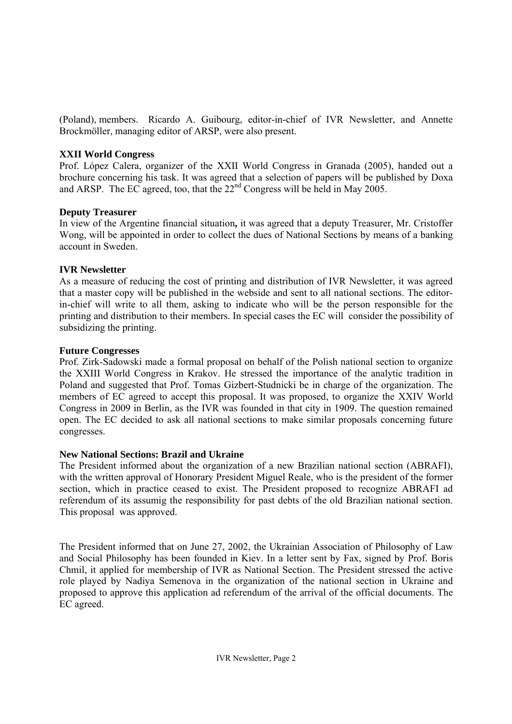(Poland), members. Ricardo A. Guibourg, editor-in-chief of IVR Newsletter, and Annette Brockmöller, managing editor of ARSP, were also present.

# **XXII World Congress**

Prof. López Calera, organizer of the XXII World Congress in Granada (2005), handed out a brochure concerning his task. It was agreed that a selection of papers will be published by Doxa and ARSP. The EC agreed, too, that the  $22<sup>nd</sup>$  Congress will be held in May 2005.

# **Deputy Treasurer**

In view of the Argentine financial situation**,** it was agreed that a deputy Treasurer, Mr. Cristoffer Wong, will be appointed in order to collect the dues of National Sections by means of a banking account in Sweden.

# **IVR Newsletter**

As a measure of reducing the cost of printing and distribution of IVR Newsletter, it was agreed that a master copy will be published in the webside and sent to all national sections. The editorin-chief will write to all them, asking to indicate who will be the person responsible for the printing and distribution to their members. In special cases the EC will consider the possibility of subsidizing the printing.

# **Future Congresses**

Prof. Zirk-Sadowski made a formal proposal on behalf of the Polish national section to organize the XXIII World Congress in Krakov. He stressed the importance of the analytic tradition in Poland and suggested that Prof. Tomas Gizbert-Studnicki be in charge of the organization. The members of EC agreed to accept this proposal. It was proposed, to organize the XXIV World Congress in 2009 in Berlin, as the IVR was founded in that city in 1909. The question remained open. The EC decided to ask all national sections to make similar proposals concerning future congresses.

# **New National Sections: Brazil and Ukraine**

The President informed about the organization of a new Brazilian national section (ABRAFI), with the written approval of Honorary President Miguel Reale, who is the president of the former section, which in practice ceased to exist. The President proposed to recognize ABRAFI ad referendum of its assumig the responsibility for past debts of the old Brazilian national section. This proposal was approved.

The President informed that on June 27, 2002, the Ukrainian Association of Philosophy of Law and Social Philosophy has been founded in Kiev. In a letter sent by Fax, signed by Prof. Boris Chmil, it applied for membership of IVR as National Section. The President stressed the active role played by Nadiya Semenova in the organization of the national section in Ukraine and proposed to approve this application ad referendum of the arrival of the official documents. The EC agreed.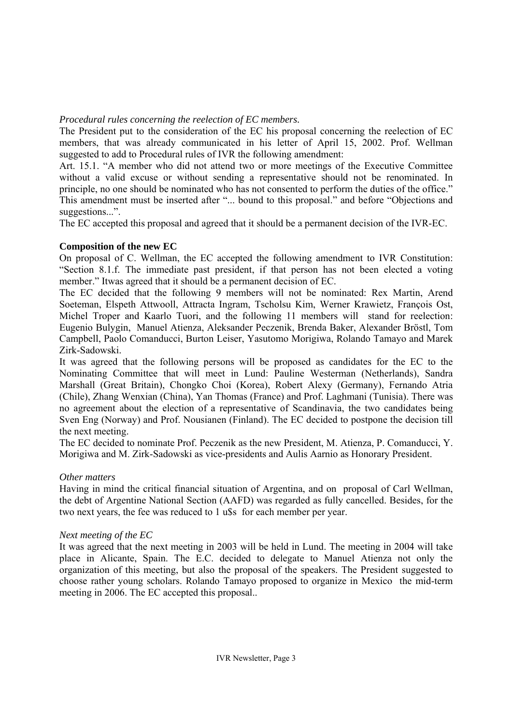## *Procedural rules concerning the reelection of EC members.*

The President put to the consideration of the EC his proposal concerning the reelection of EC members, that was already communicated in his letter of April 15, 2002. Prof. Wellman suggested to add to Procedural rules of IVR the following amendment:

Art. 15.1. "A member who did not attend two or more meetings of the Executive Committee without a valid excuse or without sending a representative should not be renominated. In principle, no one should be nominated who has not consented to perform the duties of the office." This amendment must be inserted after "... bound to this proposal." and before "Objections and suggestions...".

The EC accepted this proposal and agreed that it should be a permanent decision of the IVR-EC.

# **Composition of the new EC**

On proposal of C. Wellman, the EC accepted the following amendment to IVR Constitution: "Section 8.1.f. The immediate past president, if that person has not been elected a voting member." Itwas agreed that it should be a permanent decision of EC.

The EC decided that the following 9 members will not be nominated: Rex Martin, Arend Soeteman, Elspeth Attwooll, Attracta Ingram, Tscholsu Kim, Werner Krawietz, François Ost, Michel Troper and Kaarlo Tuori, and the following 11 members will stand for reelection: Eugenio Bulygin, Manuel Atienza, Aleksander Peczenik, Brenda Baker, Alexander Bröstl, Tom Campbell, Paolo Comanducci, Burton Leiser, Yasutomo Morigiwa, Rolando Tamayo and Marek Zirk-Sadowski.

It was agreed that the following persons will be proposed as candidates for the EC to the Nominating Committee that will meet in Lund: Pauline Westerman (Netherlands), Sandra Marshall (Great Britain), Chongko Choi (Korea), Robert Alexy (Germany), Fernando Atria (Chile), Zhang Wenxian (China), Yan Thomas (France) and Prof. Laghmani (Tunisia). There was no agreement about the election of a representative of Scandinavia, the two candidates being Sven Eng (Norway) and Prof. Nousianen (Finland). The EC decided to postpone the decision till the next meeting.

The EC decided to nominate Prof. Peczenik as the new President, M. Atienza, P. Comanducci, Y. Morigiwa and M. Zirk-Sadowski as vice-presidents and Aulis Aarnio as Honorary President.

# *Other matters*

Having in mind the critical financial situation of Argentina, and on proposal of Carl Wellman, the debt of Argentine National Section (AAFD) was regarded as fully cancelled. Besides, for the two next years, the fee was reduced to 1 u\$s for each member per year.

# *Next meeting of the EC*

It was agreed that the next meeting in 2003 will be held in Lund. The meeting in 2004 will take place in Alicante, Spain. The E.C. decided to delegate to Manuel Atienza not only the organization of this meeting, but also the proposal of the speakers. The President suggested to choose rather young scholars. Rolando Tamayo proposed to organize in Mexico the mid-term meeting in 2006. The EC accepted this proposal..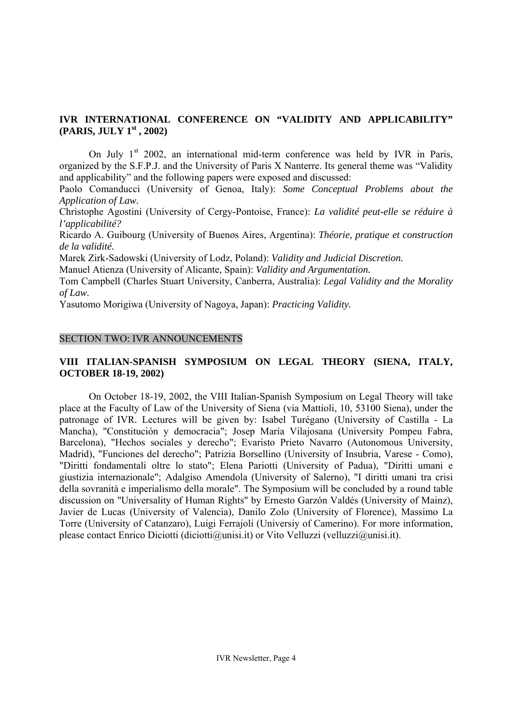# **IVR INTERNATIONAL CONFERENCE ON "VALIDITY AND APPLICABILITY" (PARIS, JULY 1st , 2002)**

On July  $1<sup>st</sup>$  2002, an international mid-term conference was held by IVR in Paris, organized by the S.F.P.J. and the University of Paris X Nanterre. Its general theme was "Validity and applicability" and the following papers were exposed and discussed:

Paolo Comanducci (University of Genoa, Italy): *Some Conceptual Problems about the Application of Law.* 

Christophe Agostini (University of Cergy-Pontoise, France): *La validité peut-elle se réduire à l'applicabilité?* 

Ricardo A. Guibourg (University of Buenos Aires, Argentina): *Théorie, pratique et construction de la validité.* 

Marek Zirk-Sadowski (University of Lodz, Poland): *Validity and Judicial Discretion.* 

Manuel Atienza (University of Alicante, Spain): *Validity and Argumentation.* 

Tom Campbell (Charles Stuart University, Canberra, Australia): *Legal Validity and the Morality of Law.* 

Yasutomo Morigiwa (University of Nagoya, Japan): *Practicing Validity.*

#### SECTION TWO: IVR ANNOUNCEMENTS

# **VIII ITALIAN-SPANISH SYMPOSIUM ON LEGAL THEORY (SIENA, ITALY, OCTOBER 18-19, 2002)**

On October 18-19, 2002, the VIII Italian-Spanish Symposium on Legal Theory will take place at the Faculty of Law of the University of Siena (via Mattioli, 10, 53100 Siena), under the patronage of IVR. Lectures will be given by: Isabel Turégano (University of Castilla - La Mancha), "Constitución y democracia"; Josep María Vilajosana (University Pompeu Fabra, Barcelona), "Hechos sociales y derecho"; Evaristo Prieto Navarro (Autonomous University, Madrid), "Funciones del derecho"; Patrizia Borsellino (University of Insubria, Varese - Como), "Diritti fondamentali oltre lo stato"; Elena Pariotti (University of Padua), "Diritti umani e giustizia internazionale"; Adalgiso Amendola (University of Salerno), "I diritti umani tra crisi della sovranità e imperialismo della morale". The Symposium will be concluded by a round table discussion on "Universality of Human Rights" by Ernesto Garzón Valdés (University of Mainz), Javier de Lucas (University of Valencia), Danilo Zolo (University of Florence), Massimo La Torre (University of Catanzaro), Luigi Ferrajoli (Universiy of Camerino). For more information, please contact Enrico Diciotti (diciotti@unisi.it) or Vito Velluzzi (velluzzi@unisi.it).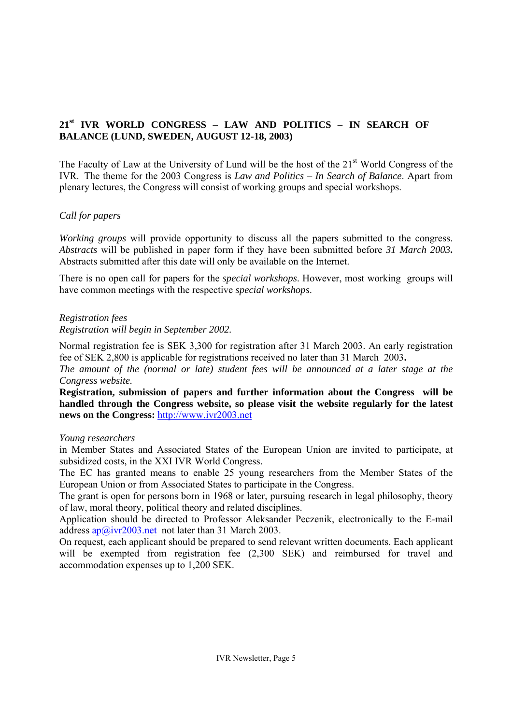# **21st IVR WORLD CONGRESS – LAW AND POLITICS – IN SEARCH OF BALANCE (LUND, SWEDEN, AUGUST 12-18, 2003)**

The Faculty of Law at the University of Lund will be the host of the  $21<sup>st</sup>$  World Congress of the IVR. The theme for the 2003 Congress is *Law and Politics – In Search of Balance*. Apart from plenary lectures, the Congress will consist of working groups and special workshops.

# *Call for papers*

*Working groups* will provide opportunity to discuss all the papers submitted to the congress. *Abstracts* will be published in paper form if they have been submitted before *31 March 2003***.** Abstracts submitted after this date will only be available on the Internet.

There is no open call for papers for the *special workshops*. However, most working groups will have common meetings with the respective *special workshops*.

## *Registration fees*

*Registration will begin in September 2002.* 

Normal registration fee is SEK 3,300 for registration after 31 March 2003. An early registration fee of SEK 2,800 is applicable for registrations received no later than 31 March 2003**.**

*The amount of the (normal or late) student fees will be announced at a later stage at the Congress website.* 

**Registration, submission of papers and further information about the Congress will be handled through the Congress website, so please visit the website regularly for the latest news on the Congress:** http://www.ivr2003.net

## *Young researchers*

in Member States and Associated States of the European Union are invited to participate, at subsidized costs, in the XXI IVR World Congress.

The EC has granted means to enable 25 young researchers from the Member States of the European Union or from Associated States to participate in the Congress.

The grant is open for persons born in 1968 or later, pursuing research in legal philosophy, theory of law, moral theory, political theory and related disciplines.

Application should be directed to Professor Aleksander Peczenik, electronically to the E-mail address  $a\sqrt{a}$  ivr2003.net not later than 31 March 2003.

On request, each applicant should be prepared to send relevant written documents. Each applicant will be exempted from registration fee  $(2,300$  SEK) and reimbursed for travel and accommodation expenses up to 1,200 SEK.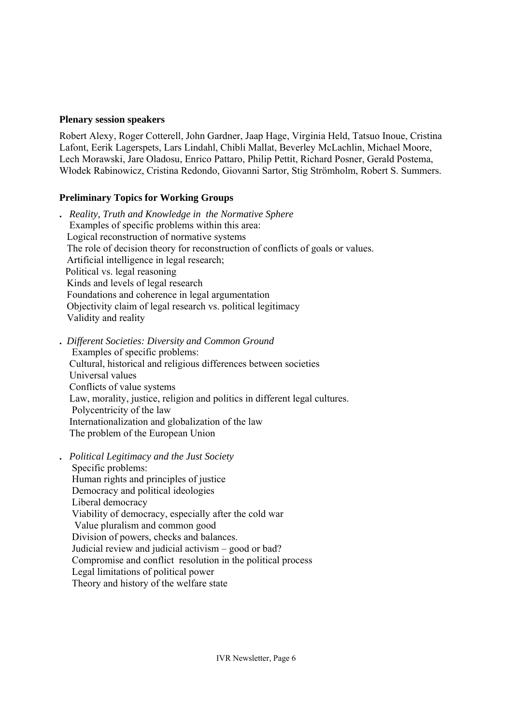## **Plenary session speakers**

Robert Alexy, Roger Cotterell, John Gardner, Jaap Hage, Virginia Held, Tatsuo Inoue, Cristina Lafont, Eerik Lagerspets, Lars Lindahl, Chibli Mallat, Beverley McLachlin, Michael Moore, Lech Morawski, Jare Oladosu, Enrico Pattaro, Philip Pettit, Richard Posner, Gerald Postema, Włodek Rabinowicz, Cristina Redondo, Giovanni Sartor, Stig Strömholm, Robert S. Summers.

# **Preliminary Topics for Working Groups**

**.** *Reality, Truth and Knowledge in the Normative Sphere*  Examples of specific problems within this area: Logical reconstruction of normative systems The role of decision theory for reconstruction of conflicts of goals or values. Artificial intelligence in legal research; Political vs. legal reasoning Kinds and levels of legal research Foundations and coherence in legal argumentation Objectivity claim of legal research vs. political legitimacy Validity and reality

**.** *Different Societies: Diversity and Common Ground*  Examples of specific problems: Cultural, historical and religious differences between societies Universal values Conflicts of value systems Law, morality, justice, religion and politics in different legal cultures. Polycentricity of the law Internationalization and globalization of the law The problem of the European Union

**.** *Political Legitimacy and the Just Society*  Specific problems: Human rights and principles of justice Democracy and political ideologies Liberal democracy Viability of democracy, especially after the cold war Value pluralism and common good Division of powers, checks and balances. Judicial review and judicial activism – good or bad? Compromise and conflict resolution in the political process Legal limitations of political power Theory and history of the welfare state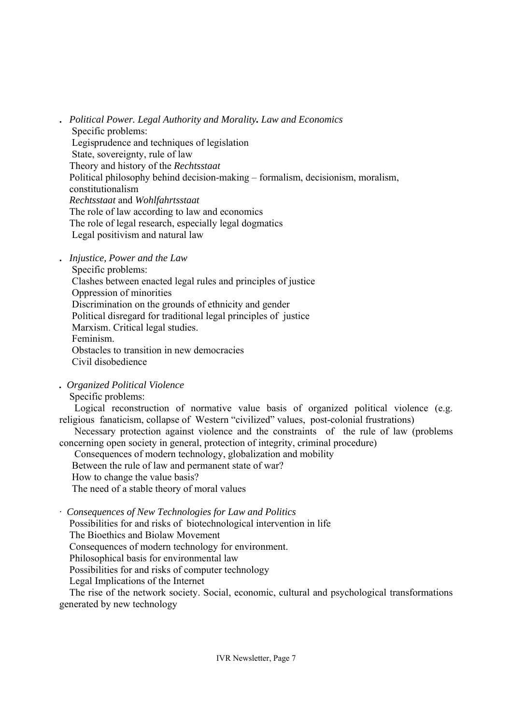**.** *Political Power. Legal Authority and Morality. Law and Economics*  Specific problems: Legisprudence and techniques of legislation State, sovereignty, rule of law Theory and history of the *Rechtsstaat*  Political philosophy behind decision-making – formalism, decisionism, moralism, constitutionalism  *Rechtsstaat* and *Wohlfahrtsstaat*  The role of law according to law and economics The role of legal research, especially legal dogmatics Legal positivism and natural law

- **.** *Injustice, Power and the Law* 
	- Specific problems:
	- Clashes between enacted legal rules and principles of justice
	- Oppression of minorities

Discrimination on the grounds of ethnicity and gender

Political disregard for traditional legal principles of justice

Marxism. Critical legal studies.

Feminism.

Obstacles to transition in new democracies

Civil disobedience

*. Organized Political Violence* 

Specific problems:

 Logical reconstruction of normative value basis of organized political violence (e.g. religious fanaticism, collapse of Western "civilized" values, post-colonial frustrations)

 Necessary protection against violence and the constraints of the rule of law (problems concerning open society in general, protection of integrity, criminal procedure)

Consequences of modern technology, globalization and mobility

Between the rule of law and permanent state of war?

How to change the value basis?

The need of a stable theory of moral values

· *Consequences of New Technologies for Law and Politics* 

Possibilities for and risks of biotechnological intervention in life

The Bioethics and Biolaw Movement

Consequences of modern technology for environment.

Philosophical basis for environmental law

Possibilities for and risks of computer technology

Legal Implications of the Internet

 The rise of the network society. Social, economic, cultural and psychological transformations generated by new technology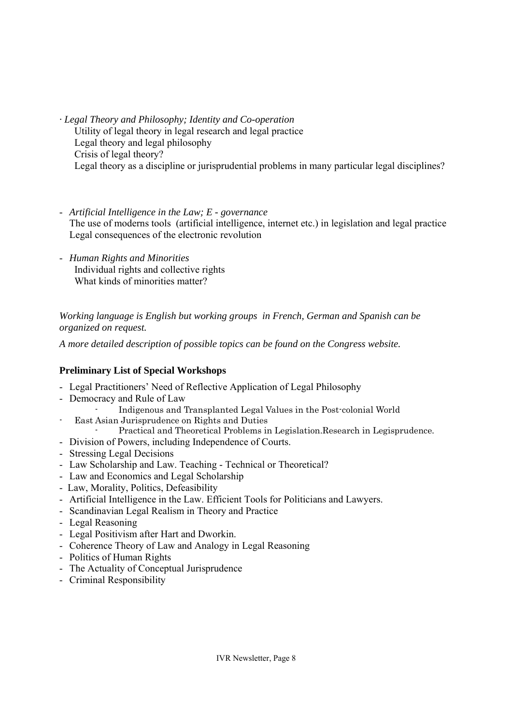- *· Legal Theory and Philosophy; Identity and Co-operation*  Utility of legal theory in legal research and legal practice Legal theory and legal philosophy Crisis of legal theory? Legal theory as a discipline or jurisprudential problems in many particular legal disciplines?
- *Artificial Intelligence in the Law; E governance*  The use of moderns tools (artificial intelligence, internet etc.) in legislation and legal practice Legal consequences of the electronic revolution
- *Human Rights and Minorities*  Individual rights and collective rights What kinds of minorities matter?

*Working language is English but working groups in French, German and Spanish can be organized on request.* 

*A more detailed description of possible topics can be found on the Congress website.* 

# **Preliminary List of Special Workshops**

- Legal Practitioners' Need of Reflective Application of Legal Philosophy
- Democracy and Rule of Law
	- Indigenous and Transplanted Legal Values in the Post-colonial World
- East Asian Jurisprudence on Rights and Duties
	- Practical and Theoretical Problems in Legislation.Research in Legisprudence.
- Division of Powers, including Independence of Courts.
- Stressing Legal Decisions
- Law Scholarship and Law. Teaching Technical or Theoretical?
- Law and Economics and Legal Scholarship
- Law, Morality, Politics, Defeasibility
- Artificial Intelligence in the Law. Efficient Tools for Politicians and Lawyers.
- Scandinavian Legal Realism in Theory and Practice
- Legal Reasoning
- Legal Positivism after Hart and Dworkin.
- Coherence Theory of Law and Analogy in Legal Reasoning
- Politics of Human Rights
- The Actuality of Conceptual Jurisprudence
- Criminal Responsibility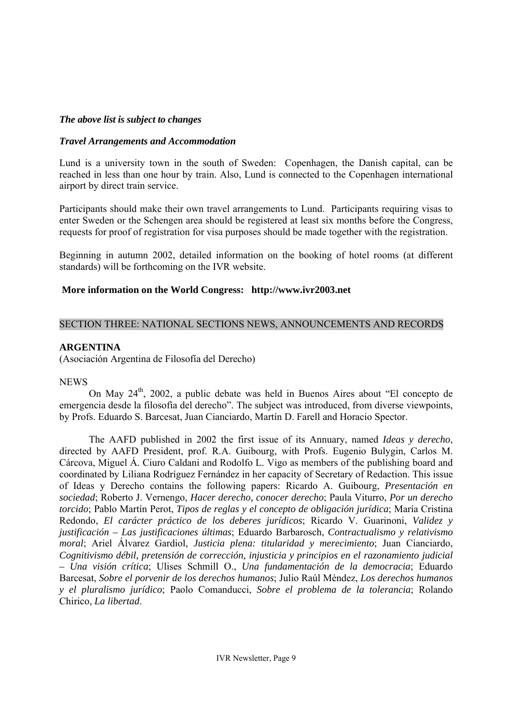## *The above list is subject to changes*

#### *Travel Arrangements and Accommodation*

Lund is a university town in the south of Sweden: Copenhagen, the Danish capital, can be reached in less than one hour by train. Also, Lund is connected to the Copenhagen international airport by direct train service.

Participants should make their own travel arrangements to Lund. Participants requiring visas to enter Sweden or the Schengen area should be registered at least six months before the Congress, requests for proof of registration for visa purposes should be made together with the registration.

Beginning in autumn 2002, detailed information on the booking of hotel rooms (at different standards) will be forthcoming on the IVR website.

#### **More information on the World Congress: http://www.ivr2003.net**

#### SECTION THREE: NATIONAL SECTIONS NEWS, ANNOUNCEMENTS AND RECORDS

#### **ARGENTINA**

(Asociación Argentina de Filosofía del Derecho)

#### **NEWS**

On May 24th, 2002, a public debate was held in Buenos Aires about "El concepto de emergencia desde la filosofía del derecho". The subject was introduced, from diverse viewpoints, by Profs. Eduardo S. Barcesat, Juan Cianciardo, Martín D. Farell and Horacio Spector.

 The AAFD published in 2002 the first issue of its Annuary, named *Ideas y derecho*, directed by AAFD President, prof. R.A. Guibourg, with Profs. Eugenio Bulygin, Carlos M. Cárcova, Miguel Á. Ciuro Caldani and Rodolfo L. Vigo as members of the publishing board and coordinated by Liliana Rodríguez Fernández in her capacity of Secretary of Redaction. This issue of Ideas y Derecho contains the following papers: Ricardo A. Guibourg, *Presentación en sociedad*; Roberto J. Vernengo, *Hacer derecho, conocer derecho*; Paula Viturro, *Por un derecho torcido*; Pablo Martín Perot, *Tipos de reglas y el concepto de obligación jurídica*; María Cristina Redondo, *El carácter práctico de los deberes jurídicos*; Ricardo V. Guarinoni, *Validez y justificación – Las justificaciones últimas*; Eduardo Barbarosch, *Contractualismo y relativismo moral*; Ariel Álvarez Gardiol, *Justicia plena: titularidad y merecimiento*; Juan Cianciardo, *Cognitivismo débil, pretensión de corrección, injusticia y principios en el razonamiento judicial – Una visión crítica*; Ulises Schmill O., *Una fundamentación de la democracia*; Eduardo Barcesat, *Sobre el porvenir de los derechos humanos*; Julio Raúl Méndez, *Los derechos humanos y el pluralismo jurídico*; Paolo Comanducci, *Sobre el problema de la tolerancia*; Rolando Chirico, *La libertad*.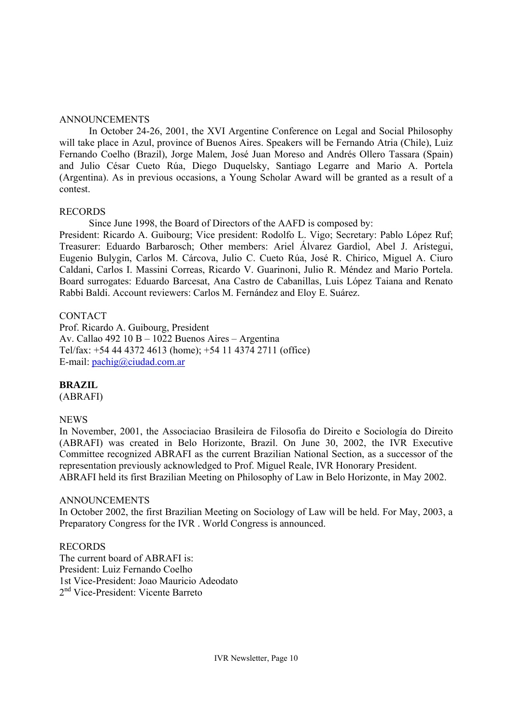#### ANNOUNCEMENTS

In October 24-26, 2001, the XVI Argentine Conference on Legal and Social Philosophy will take place in Azul, province of Buenos Aires. Speakers will be Fernando Atria (Chile), Luiz Fernando Coelho (Brazil), Jorge Malem, José Juan Moreso and Andrés Ollero Tassara (Spain) and Julio César Cueto Rúa, Diego Duquelsky, Santiago Legarre and Mario A. Portela (Argentina). As in previous occasions, a Young Scholar Award will be granted as a result of a contest.

#### RECORDS

Since June 1998, the Board of Directors of the AAFD is composed by:

President: Ricardo A. Guibourg; Vice president: Rodolfo L. Vigo; Secretary: Pablo López Ruf; Treasurer: Eduardo Barbarosch; Other members: Ariel Álvarez Gardiol, Abel J. Arístegui, Eugenio Bulygin, Carlos M. Cárcova, Julio C. Cueto Rúa, José R. Chirico, Miguel A. Ciuro Caldani, Carlos I. Massini Correas, Ricardo V. Guarinoni, Julio R. Méndez and Mario Portela. Board surrogates: Eduardo Barcesat, Ana Castro de Cabanillas, Luis López Taiana and Renato Rabbi Baldi. Account reviewers: Carlos M. Fernández and Eloy E. Suárez.

# CONTACT

Prof. Ricardo A. Guibourg, President Av. Callao 492 10 B – 1022 Buenos Aires – Argentina Tel/fax: +54 44 4372 4613 (home); +54 11 4374 2711 (office) E-mail: pachig@ciudad.com.ar

## **BRAZIL**

(ABRAFI)

## NEWS

In November, 2001, the Associaciao Brasileira de Filosofia do Direito e Sociología do Direito (ABRAFI) was created in Belo Horizonte, Brazil. On June 30, 2002, the IVR Executive Committee recognized ABRAFI as the current Brazilian National Section, as a successor of the representation previously acknowledged to Prof. Miguel Reale, IVR Honorary President. ABRAFI held its first Brazilian Meeting on Philosophy of Law in Belo Horizonte, in May 2002.

#### ANNOUNCEMENTS

In October 2002, the first Brazilian Meeting on Sociology of Law will be held. For May, 2003, a Preparatory Congress for the IVR . World Congress is announced.

RECORDS The current board of ABRAFI is: President: Luiz Fernando Coelho 1st Vice-President: Joao Mauricio Adeodato 2nd Vice-President: Vicente Barreto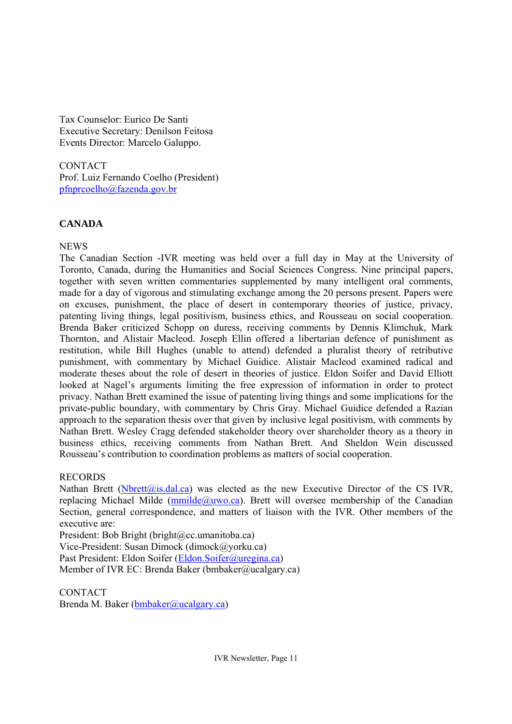Tax Counselor: Eurico De Santi Executive Secretary: Denilson Feitosa Events Director: Marcelo Galuppo.

**CONTACT** Prof. Luiz Fernando Coelho (President) pfnprcoelho@fazenda.gov.br

# **CANADA**

# **NEWS**

The Canadian Section -IVR meeting was held over a full day in May at the University of Toronto, Canada, during the Humanities and Social Sciences Congress. Nine principal papers, together with seven written commentaries supplemented by many intelligent oral comments, made for a day of vigorous and stimulating exchange among the 20 persons present. Papers were on excuses, punishment, the place of desert in contemporary theories of justice, privacy, patenting living things, legal positivism, business ethics, and Rousseau on social cooperation. Brenda Baker criticized Schopp on duress, receiving comments by Dennis Klimchuk, Mark Thornton, and Alistair Macleod. Joseph Ellin offered a libertarian defence of punishment as restitution, while Bill Hughes (unable to attend) defended a pluralist theory of retributive punishment, with commentary by Michael Guidice. Alistair Macleod examined radical and moderate theses about the role of desert in theories of justice. Eldon Soifer and David Elliott looked at Nagel's arguments limiting the free expression of information in order to protect privacy. Nathan Brett examined the issue of patenting living things and some implications for the private-public boundary, with commentary by Chris Gray. Michael Guidice defended a Razian approach to the separation thesis over that given by inclusive legal positivism, with comments by Nathan Brett. Wesley Cragg defended stakeholder theory over shareholder theory as a theory in business ethics, receiving comments from Nathan Brett. And Sheldon Wein discussed Rousseau's contribution to coordination problems as matters of social cooperation.

# RECORDS

Nathan Brett (Nbrett@is.dal.ca) was elected as the new Executive Director of the CS IVR, replacing Michael Milde ( $mmilde@uwo.ca$ ). Brett will oversee membership of the Canadian Section, general correspondence, and matters of liaison with the IVR. Other members of the executive are:

President: Bob Bright (bright@cc.umanitoba.ca) Vice-President: Susan Dimock (dimock@yorku.ca) Past President: Eldon Soifer (Eldon.Soifer@uregina.ca) Member of IVR EC: Brenda Baker (bmbaker@ucalgary.ca)

**CONTACT** Brenda M. Baker (bmbaker@ucalgary.ca)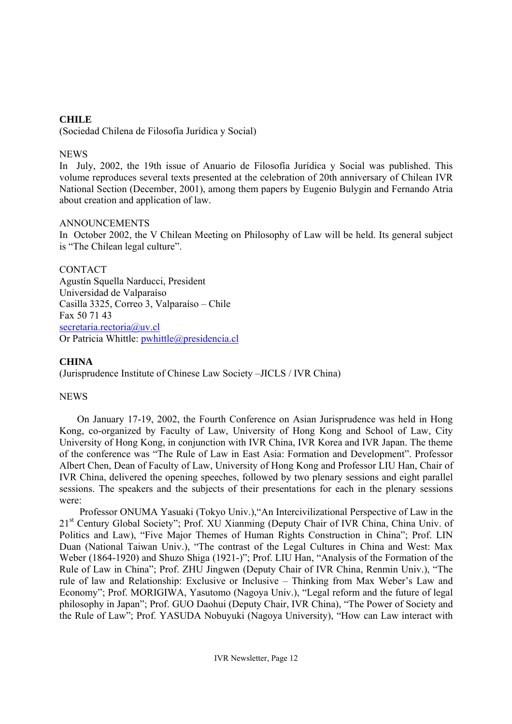# **CHILE**

(Sociedad Chilena de Filosofía Jurídica y Social)

# NEWS

In July, 2002, the 19th issue of Anuario de Filosofía Jurídica y Social was published. This volume reproduces several texts presented at the celebration of 20th anniversary of Chilean IVR National Section (December, 2001), among them papers by Eugenio Bulygin and Fernando Atria about creation and application of law.

# ANNOUNCEMENTS

In October 2002, the V Chilean Meeting on Philosophy of Law will be held. Its general subject is "The Chilean legal culture".

CONTACT Agustín Squella Narducci, President Universidad de Valparaíso Casilla 3325, Correo 3, Valparaíso – Chile Fax 50 71 43 secretaria.rectoria@uv.cl Or Patricia Whittle: pwhittle@presidencia.cl

# **CHINA**

(Jurisprudence Institute of Chinese Law Society –JICLS / IVR China)

# **NEWS**

On January 17-19, 2002, the Fourth Conference on Asian Jurisprudence was held in Hong Kong, co-organized by Faculty of Law, University of Hong Kong and School of Law, City University of Hong Kong, in conjunction with IVR China, IVR Korea and IVR Japan. The theme of the conference was "The Rule of Law in East Asia: Formation and Development". Professor Albert Chen, Dean of Faculty of Law, University of Hong Kong and Professor LIU Han, Chair of IVR China, delivered the opening speeches, followed by two plenary sessions and eight parallel sessions. The speakers and the subjects of their presentations for each in the plenary sessions were:

Professor ONUMA Yasuaki (Tokyo Univ.),"An Intercivilizational Perspective of Law in the 21<sup>st</sup> Century Global Society"; Prof. XU Xianming (Deputy Chair of IVR China, China Univ. of Politics and Law), "Five Major Themes of Human Rights Construction in China"; Prof. LIN Duan (National Taiwan Univ.), "The contrast of the Legal Cultures in China and West: Max Weber (1864-1920) and Shuzo Shiga (1921-)"; Prof. LIU Han, "Analysis of the Formation of the Rule of Law in China"; Prof. ZHU Jingwen (Deputy Chair of IVR China, Renmin Univ.), "The rule of law and Relationship: Exclusive or Inclusive – Thinking from Max Weber's Law and Economy"; Prof. MORIGIWA, Yasutomo (Nagoya Univ.), "Legal reform and the future of legal philosophy in Japan"; Prof. GUO Daohui (Deputy Chair, IVR China), "The Power of Society and the Rule of Law"; Prof. YASUDA Nobuyuki (Nagoya University), "How can Law interact with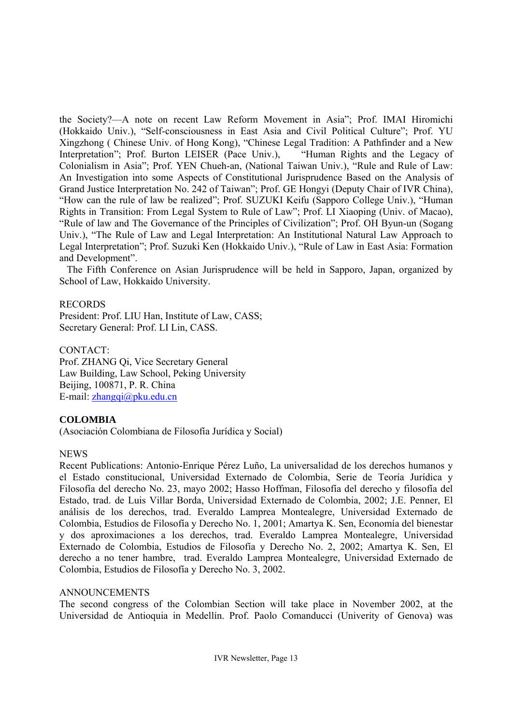the Society?—A note on recent Law Reform Movement in Asia"; Prof. IMAI Hiromichi (Hokkaido Univ.), "Self-consciousness in East Asia and Civil Political Culture"; Prof. YU Xingzhong ( Chinese Univ. of Hong Kong), "Chinese Legal Tradition: A Pathfinder and a New Interpretation"; Prof. Burton LEISER (Pace Univ.), "Human Rights and the Legacy of Colonialism in Asia"; Prof. YEN Chueh-an, (National Taiwan Univ.), "Rule and Rule of Law: An Investigation into some Aspects of Constitutional Jurisprudence Based on the Analysis of Grand Justice Interpretation No. 242 of Taiwan"; Prof. GE Hongyi (Deputy Chair of IVR China), "How can the rule of law be realized"; Prof. SUZUKI Keifu (Sapporo College Univ.), "Human Rights in Transition: From Legal System to Rule of Law"; Prof. LI Xiaoping (Univ. of Macao), "Rule of law and The Governance of the Principles of Civilization"; Prof. OH Byun-un (Sogang Univ.), "The Rule of Law and Legal Interpretation: An Institutional Natural Law Approach to Legal Interpretation"; Prof. Suzuki Ken (Hokkaido Univ.), "Rule of Law in East Asia: Formation and Development".

 The Fifth Conference on Asian Jurisprudence will be held in Sapporo, Japan, organized by School of Law, Hokkaido University.

#### RECORDS

President: Prof. LIU Han, Institute of Law, CASS; Secretary General: Prof. LI Lin, CASS.

CONTACT:

Prof. ZHANG Qi, Vice Secretary General Law Building, Law School, Peking University Beijing, 100871, P. R. China E-mail: zhangqi@pku.edu.cn

## **COLOMBIA**

(Asociación Colombiana de Filosofía Jurídica y Social)

## NEWS

Recent Publications: Antonio-Enrique Pérez Luño, La universalidad de los derechos humanos y el Estado constitucional, Universidad Externado de Colombia, Serie de Teoría Jurídica y Filosofía del derecho No. 23, mayo 2002; Hasso Hoffman, Filosofía del derecho y filosofía del Estado, trad. de Luis Villar Borda, Universidad Externado de Colombia, 2002; J.E. Penner, El análisis de los derechos, trad. Everaldo Lamprea Montealegre, Universidad Externado de Colombia, Estudios de Filosofía y Derecho No. 1, 2001; Amartya K. Sen, Economía del bienestar y dos aproximaciones a los derechos, trad. Everaldo Lamprea Montealegre, Universidad Externado de Colombia, Estudios de Filosofía y Derecho No. 2, 2002; Amartya K. Sen, El derecho a no tener hambre, trad. Everaldo Lamprea Montealegre, Universidad Externado de Colombia, Estudios de Filosofía y Derecho No. 3, 2002.

## ANNOUNCEMENTS

The second congress of the Colombian Section will take place in November 2002, at the Universidad de Antioquia in Medellín. Prof. Paolo Comanducci (Univerity of Genova) was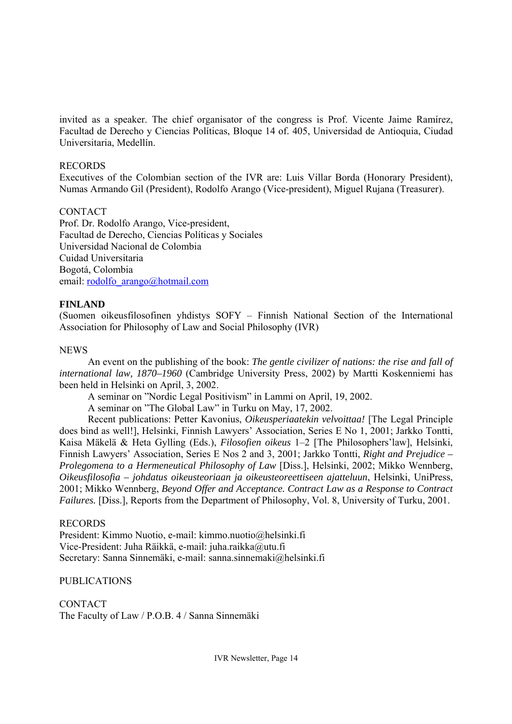invited as a speaker. The chief organisator of the congress is Prof. Vicente Jaime Ramírez, Facultad de Derecho y Ciencias Políticas, Bloque 14 of. 405, Universidad de Antioquia, Ciudad Universitaria, Medellín.

#### RECORDS

Executives of the Colombian section of the IVR are: Luis Villar Borda (Honorary President), Numas Armando Gil (President), Rodolfo Arango (Vice-president), Miguel Rujana (Treasurer).

## **CONTACT**

Prof. Dr. Rodolfo Arango, Vice-president, Facultad de Derecho, Ciencias Políticas y Sociales Universidad Nacional de Colombia Cuidad Universitaria Bogotá, Colombia email: rodolfo\_arango@hotmail.com

## **FINLAND**

(Suomen oikeusfilosofinen yhdistys SOFY – Finnish National Section of the International Association for Philosophy of Law and Social Philosophy (IVR)

#### **NEWS**

 An event on the publishing of the book: *The gentle civilizer of nations: the rise and fall of international law, 1870–1960* (Cambridge University Press, 2002) by Martti Koskenniemi has been held in Helsinki on April, 3, 2002.

A seminar on "Nordic Legal Positivism" in Lammi on April, 19, 2002.

A seminar on "The Global Law" in Turku on May, 17, 2002.

 Recent publications: Petter Kavonius, *Oikeusperiaatekin velvoittaa!* [The Legal Principle does bind as well!], Helsinki, Finnish Lawyers' Association, Series E No 1, 2001; Jarkko Tontti, Kaisa Mäkelä & Heta Gylling (Eds.), *Filosofien oikeus* 1–2 [The Philosophers'law], Helsinki, Finnish Lawyers' Association, Series E Nos 2 and 3, 2001; Jarkko Tontti, *Right and Prejudice – Prolegomena to a Hermeneutical Philosophy of Law* [Diss.], Helsinki, 2002; Mikko Wennberg, *Oikeusfilosofia – johdatus oikeusteoriaan ja oikeusteoreettiseen ajatteluun*, Helsinki, UniPress, 2001; Mikko Wennberg, *Beyond Offer and Acceptance. Contract Law as a Response to Contract Failures.* [Diss.], Reports from the Department of Philosophy, Vol. 8, University of Turku, 2001.

#### RECORDS

President: Kimmo Nuotio, e-mail: kimmo.nuotio@helsinki.fi Vice-President: Juha Räikkä, e-mail: juha.raikka@utu.fi Secretary: Sanna Sinnemäki, e-mail: sanna.sinnemaki@helsinki.fi

## PUBLICATIONS

**CONTACT** The Faculty of Law / P.O.B. 4 / Sanna Sinnemäki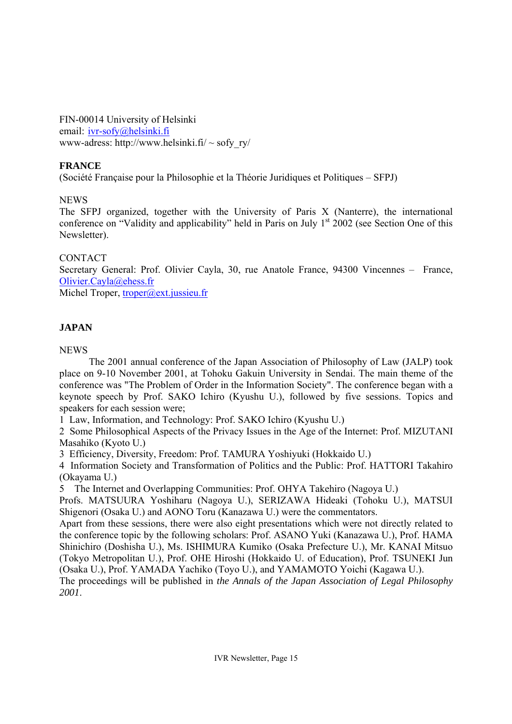FIN-00014 University of Helsinki email: ivr-sofy@helsinki.fi www-adress: http://www.helsinki.fi/  $\sim$  sofy\_ry/

# **FRANCE**

(Société Française pour la Philosophie et la Théorie Juridiques et Politiques – SFPJ)

NEWS

The SFPJ organized, together with the University of Paris X (Nanterre), the international conference on "Validity and applicability" held in Paris on July  $1<sup>st</sup>$  2002 (see Section One of this Newsletter).

# **CONTACT**

Secretary General: Prof. Olivier Cayla, 30, rue Anatole France, 94300 Vincennes – France, Olivier.Cayla@ehess.fr

Michel Troper, troper@ext.jussieu.fr

# **JAPAN**

NEWS

 The 2001 annual conference of the Japan Association of Philosophy of Law (JALP) took place on 9-10 November 2001, at Tohoku Gakuin University in Sendai. The main theme of the conference was "The Problem of Order in the Information Society". The conference began with a keynote speech by Prof. SAKO Ichiro (Kyushu U.), followed by five sessions. Topics and speakers for each session were;

1 Law, Information, and Technology: Prof. SAKO Ichiro (Kyushu U.)

2 Some Philosophical Aspects of the Privacy Issues in the Age of the Internet: Prof. MIZUTANI Masahiko (Kyoto U.)

3 Efficiency, Diversity, Freedom: Prof. TAMURA Yoshiyuki (Hokkaido U.)

4 Information Society and Transformation of Politics and the Public: Prof. HATTORI Takahiro (Okayama U.)

5 The Internet and Overlapping Communities: Prof. OHYA Takehiro (Nagoya U.)

Profs. MATSUURA Yoshiharu (Nagoya U.), SERIZAWA Hideaki (Tohoku U.), MATSUI Shigenori (Osaka U.) and AONO Toru (Kanazawa U.) were the commentators.

Apart from these sessions, there were also eight presentations which were not directly related to the conference topic by the following scholars: Prof. ASANO Yuki (Kanazawa U.), Prof. HAMA Shinichiro (Doshisha U.), Ms. ISHIMURA Kumiko (Osaka Prefecture U.), Mr. KANAI Mitsuo (Tokyo Metropolitan U.), Prof. OHE Hiroshi (Hokkaido U. of Education), Prof. TSUNEKI Jun (Osaka U.), Prof. YAMADA Yachiko (Toyo U.), and YAMAMOTO Yoichi (Kagawa U.).

The proceedings will be published in *the Annals of the Japan Association of Legal Philosophy 2001*.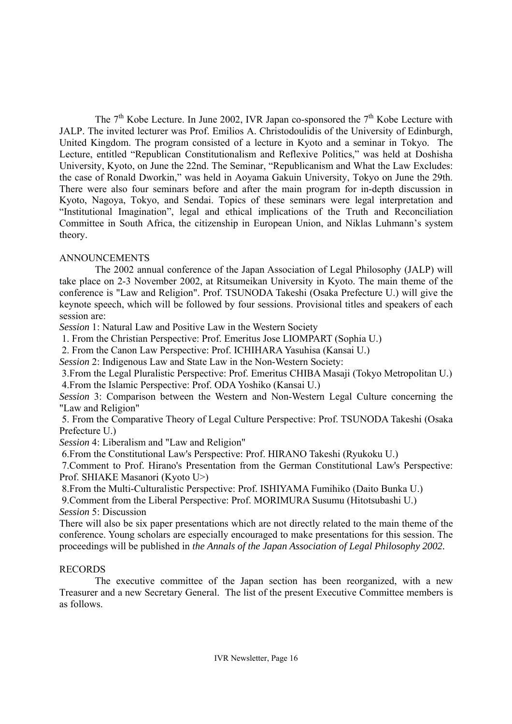The  $7<sup>th</sup>$  Kobe Lecture. In June 2002, IVR Japan co-sponsored the  $7<sup>th</sup>$  Kobe Lecture with JALP. The invited lecturer was Prof. Emilios A. Christodoulidis of the University of Edinburgh, United Kingdom. The program consisted of a lecture in Kyoto and a seminar in Tokyo. The Lecture, entitled "Republican Constitutionalism and Reflexive Politics," was held at Doshisha University, Kyoto, on June the 22nd. The Seminar, "Republicanism and What the Law Excludes: the case of Ronald Dworkin," was held in Aoyama Gakuin University, Tokyo on June the 29th. There were also four seminars before and after the main program for in-depth discussion in Kyoto, Nagoya, Tokyo, and Sendai. Topics of these seminars were legal interpretation and "Institutional Imagination", legal and ethical implications of the Truth and Reconciliation Committee in South Africa, the citizenship in European Union, and Niklas Luhmann's system theory.

# ANNOUNCEMENTS

The 2002 annual conference of the Japan Association of Legal Philosophy (JALP) will take place on 2-3 November 2002, at Ritsumeikan University in Kyoto. The main theme of the conference is "Law and Religion". Prof. TSUNODA Takeshi (Osaka Prefecture U.) will give the keynote speech, which will be followed by four sessions. Provisional titles and speakers of each session are:

*Session* 1: Natural Law and Positive Law in the Western Society

1. From the Christian Perspective: Prof. Emeritus Jose LIOMPART (Sophia U.)

2. From the Canon Law Perspective: Prof. ICHIHARA Yasuhisa (Kansai U.)

*Session* 2: Indigenous Law and State Law in the Non-Western Society:

 3.From the Legal Pluralistic Perspective: Prof. Emeritus CHIBA Masaji (Tokyo Metropolitan U.) 4.From the Islamic Perspective: Prof. ODA Yoshiko (Kansai U.)

*Session* 3: Comparison between the Western and Non-Western Legal Culture concerning the "Law and Religion"

 5. From the Comparative Theory of Legal Culture Perspective: Prof. TSUNODA Takeshi (Osaka Prefecture U.)

*Session* 4: Liberalism and "Law and Religion"

6.From the Constitutional Law's Perspective: Prof. HIRANO Takeshi (Ryukoku U.)

 7.Comment to Prof. Hirano's Presentation from the German Constitutional Law's Perspective: Prof. SHIAKE Masanori (Kyoto U>)

8.From the Multi-Culturalistic Perspective: Prof. ISHIYAMA Fumihiko (Daito Bunka U.)

 9.Comment from the Liberal Perspective: Prof. MORIMURA Susumu (Hitotsubashi U.) *Session* 5: Discussion

There will also be six paper presentations which are not directly related to the main theme of the conference. Young scholars are especially encouraged to make presentations for this session. The proceedings will be published in *the Annals of the Japan Association of Legal Philosophy 2002.*

# RECORDS

The executive committee of the Japan section has been reorganized, with a new Treasurer and a new Secretary General. The list of the present Executive Committee members is as follows.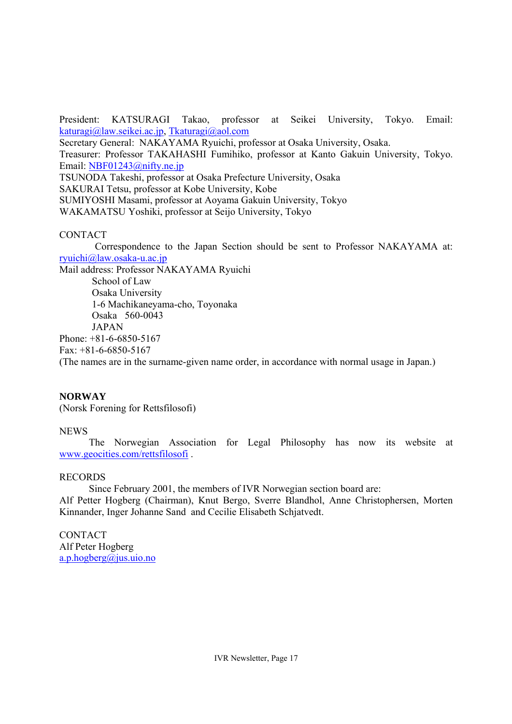President: KATSURAGI Takao, professor at Seikei University, Tokyo. Email: katuragi@law.seikei.ac.jp, Tkaturagi@aol.com

Secretary General: NAKAYAMA Ryuichi, professor at Osaka University, Osaka. Treasurer: Professor TAKAHASHI Fumihiko, professor at Kanto Gakuin University, Tokyo. Email: NBF01243@nifty.ne.jp TSUNODA Takeshi, professor at Osaka Prefecture University, Osaka SAKURAI Tetsu, professor at Kobe University, Kobe SUMIYOSHI Masami, professor at Aoyama Gakuin University, Tokyo WAKAMATSU Yoshiki, professor at Seijo University, Tokyo

# CONTACT

Correspondence to the Japan Section should be sent to Professor NAKAYAMA at: ryuichi@law.osaka-u.ac.jp

Mail address: Professor NAKAYAMA Ryuichi School of Law Osaka University 1-6 Machikaneyama-cho, Toyonaka Osaka 560-0043 JAPAN Phone: +81-6-6850-5167 Fax: +81-6-6850-5167 (The names are in the surname-given name order, in accordance with normal usage in Japan.)

# **NORWAY**

(Norsk Forening for Rettsfilosofi)

# **NEWS**

The Norwegian Association for Legal Philosophy has now its website at www.geocities.com/rettsfilosofi .

# RECORDS

Since February 2001, the members of IVR Norwegian section board are:

Alf Petter Hogberg (Chairman), Knut Bergo, Sverre Blandhol, Anne Christophersen, Morten Kinnander, Inger Johanne Sand and Cecilie Elisabeth Schjatvedt.

**CONTACT** Alf Peter Hogberg a.p.hogberg@jus.uio.no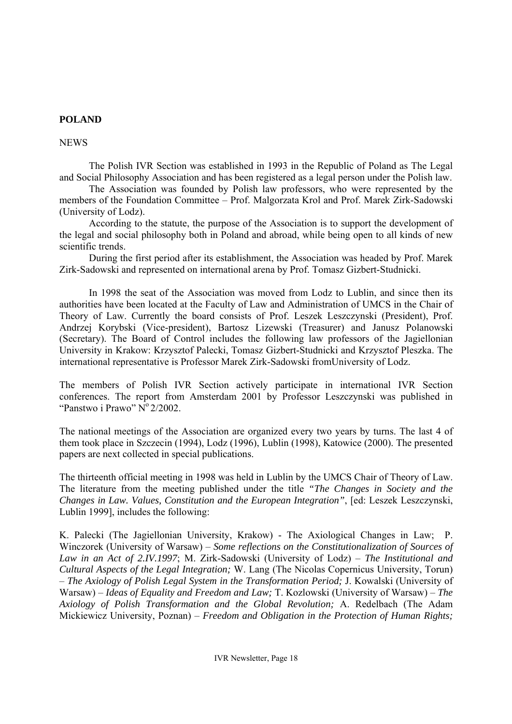## **POLAND**

#### **NEWS**

The Polish IVR Section was established in 1993 in the Republic of Poland as The Legal and Social Philosophy Association and has been registered as a legal person under the Polish law.

The Association was founded by Polish law professors, who were represented by the members of the Foundation Committee – Prof. Malgorzata Krol and Prof. Marek Zirk-Sadowski (University of Lodz).

According to the statute, the purpose of the Association is to support the development of the legal and social philosophy both in Poland and abroad, while being open to all kinds of new scientific trends.

During the first period after its establishment, the Association was headed by Prof. Marek Zirk-Sadowski and represented on international arena by Prof. Tomasz Gizbert-Studnicki.

In 1998 the seat of the Association was moved from Lodz to Lublin, and since then its authorities have been located at the Faculty of Law and Administration of UMCS in the Chair of Theory of Law. Currently the board consists of Prof. Leszek Leszczynski (President), Prof. Andrzej Korybski (Vice-president), Bartosz Lizewski (Treasurer) and Janusz Polanowski (Secretary). The Board of Control includes the following law professors of the Jagiellonian University in Krakow: Krzysztof Palecki, Tomasz Gizbert-Studnicki and Krzysztof Pleszka. The international representative is Professor Marek Zirk-Sadowski fromUniversity of Lodz.

The members of Polish IVR Section actively participate in international IVR Section conferences. The report from Amsterdam 2001 by Professor Leszczynski was published in "Panstwo i Prawo"  $N^{\circ}$  2/2002.

The national meetings of the Association are organized every two years by turns. The last 4 of them took place in Szczecin (1994), Lodz (1996), Lublin (1998), Katowice (2000). The presented papers are next collected in special publications.

The thirteenth official meeting in 1998 was held in Lublin by the UMCS Chair of Theory of Law. The literature from the meeting published under the title *"The Changes in Society and the Changes in Law. Values, Constitution and the European Integration"*, [ed: Leszek Leszczynski, Lublin 1999], includes the following:

K. Palecki (The Jagiellonian University, Krakow) - The Axiological Changes in Law; P. Winczorek (University of Warsaw) – *Some reflections on the Constitutionalization of Sources of Law in an Act of 2.IV.1997*; M. Zirk-Sadowski (University of Lodz) – *The Institutional and Cultural Aspects of the Legal Integration;* W. Lang (The Nicolas Copernicus University, Torun) – *The Axiology of Polish Legal System in the Transformation Period;* J. Kowalski (University of Warsaw) – *Ideas of Equality and Freedom and Law;* T. Kozlowski (University of Warsaw) – *The Axiology of Polish Transformation and the Global Revolution;* A. Redelbach (The Adam Mickiewicz University, Poznan) – *Freedom and Obligation in the Protection of Human Rights;*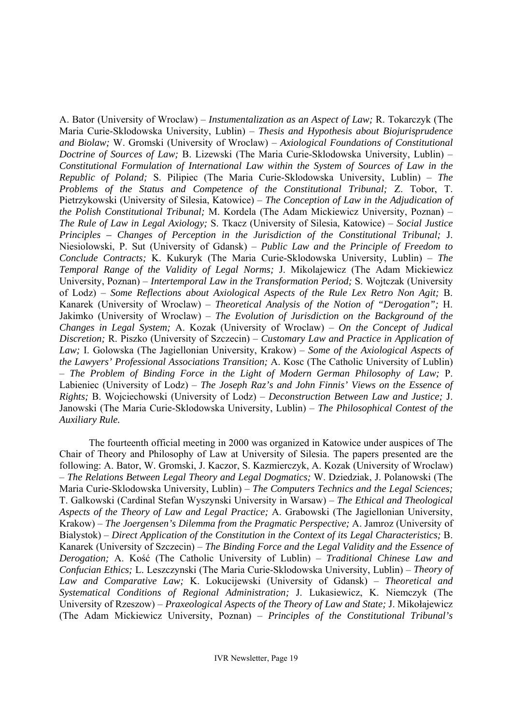A. Bator (University of Wroclaw) – *Instumentalization as an Aspect of Law;* R. Tokarczyk (The Maria Curie-Sklodowska University, Lublin) – *Thesis and Hypothesis about Biojurisprudence and Biolaw;* W. Gromski (University of Wroclaw) – *Axiological Foundations of Constitutional Doctrine of Sources of Law;* B. Lizewski (The Maria Curie-Sklodowska University, Lublin) – *Constitutional Formulation of International Law within the System of Sources of Law in the Republic of Poland;* S. Pilipiec (The Maria Curie-Sklodowska University, Lublin) – *The Problems of the Status and Competence of the Constitutional Tribunal;* Z. Tobor, T. Pietrzykowski (University of Silesia, Katowice) – *The Conception of Law in the Adjudication of the Polish Constitutional Tribunal;* M. Kordela (The Adam Mickiewicz University, Poznan) – *The Rule of Law in Legal Axiology;* S. Tkacz (University of Silesia, Katowice) – *Social Justice Principles – Changes of Perception in the Jurisdiction of the Constitutional Tribunal;* J. Niesiolowski, P. Sut (University of Gdansk) – *Public Law and the Principle of Freedom to Conclude Contracts;* K. Kukuryk (The Maria Curie-Sklodowska University, Lublin) – *The Temporal Range of the Validity of Legal Norms;* J. Mikolajewicz (The Adam Mickiewicz University, Poznan) – *Intertemporal Law in the Transformation Period;* S. Wojtczak (University of Lodz) – *Some Reflections about Axiological Aspects of the Rule Lex Retro Non Agit;* B. Kanarek (University of Wroclaw) – *Theoretical Analysis of the Notion of "Derogation";* H. Jakimko (University of Wroclaw) – *The Evolution of Jurisdiction on the Background of the Changes in Legal System;* A. Kozak (University of Wroclaw) – *On the Concept of Judical Discretion;* R. Piszko (University of Szczecin) – *Customary Law and Practice in Application of Law;* I. Golowska (The Jagiellonian University, Krakow) – *Some of the Axiological Aspects of the Lawyers' Professional Associations Transition;* A. Kosc (The Catholic University of Lublin) – *The Problem of Binding Force in the Light of Modern German Philosophy of Law;* P. Labieniec (University of Lodz) – *The Joseph Raz's and John Finnis' Views on the Essence of Rights;* B. Wojciechowski (University of Lodz) – *Deconstruction Between Law and Justice;* J. Janowski (The Maria Curie-Sklodowska University, Lublin) – *The Philosophical Contest of the Auxiliary Rule.* 

The fourteenth official meeting in 2000 was organized in Katowice under auspices of The Chair of Theory and Philosophy of Law at University of Silesia. The papers presented are the following: A. Bator, W. Gromski, J. Kaczor, S. Kazmierczyk, A. Kozak (University of Wroclaw) – *The Relations Between Legal Theory and Legal Dogmatics;* W. Dziedziak, J. Polanowski (The Maria Curie-Sklodowska University, Lublin) – *The Computers Technics and the Legal Sciences;*  T. Galkowski (Cardinal Stefan Wyszynski University in Warsaw) – *The Ethical and Theological Aspects of the Theory of Law and Legal Practice;* A. Grabowski (The Jagiellonian University, Krakow) – *The Joergensen's Dilemma from the Pragmatic Perspective;* A. Jamroz (University of Bialystok) – *Direct Application of the Constitution in the Context of its Legal Characteristics;* B. Kanarek (University of Szczecin) – *The Binding Force and the Legal Validity and the Essence of Derogation;* A. Kość (The Catholic University of Lublin) – *Traditional Chinese Law and Confucian Ethics;* L. Leszczynski (The Maria Curie-Sklodowska University, Lublin) – *Theory of Law and Comparative Law;* K. Lokucijewski (University of Gdansk) – *Theoretical and Systematical Conditions of Regional Administration;* J. Lukasiewicz, K. Niemczyk (The University of Rzeszow) – *Praxeological Aspects of the Theory of Law and State;* J. Mikołajewicz (The Adam Mickiewicz University, Poznan) – *Principles of the Constitutional Tribunal's*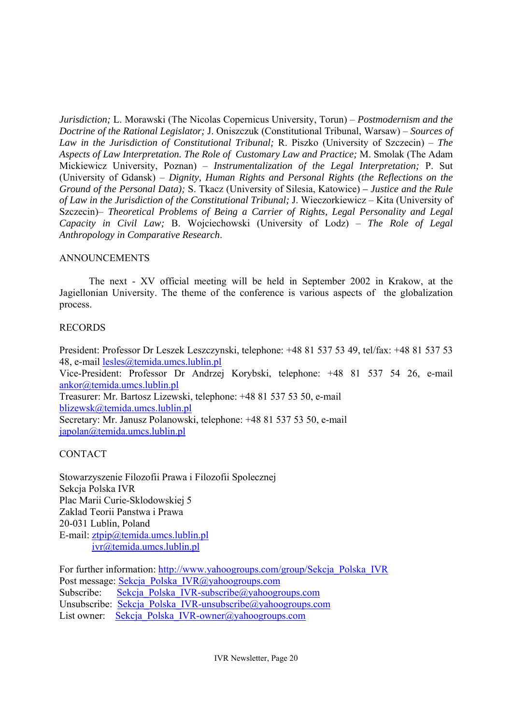*Jurisdiction;* L. Morawski (The Nicolas Copernicus University, Torun) – *Postmodernism and the Doctrine of the Rational Legislator;* J. Oniszczuk (Constitutional Tribunal, Warsaw) – *Sources of Law in the Jurisdiction of Constitutional Tribunal;* R. Piszko (University of Szczecin) – *The Aspects of Law Interpretation. The Role of Customary Law and Practice;* M. Smolak (The Adam Mickiewicz University, Poznan) – *Instrumentalization of the Legal Interpretation;* P. Sut (University of Gdansk) – *Dignity, Human Rights and Personal Rights (the Reflections on the Ground of the Personal Data);* S. Tkacz (University of Silesia, Katowice) *– Justice and the Rule of Law in the Jurisdiction of the Constitutional Tribunal;* J. Wieczorkiewicz – Kita (University of Szczecin)– *Theoretical Problems of Being a Carrier of Rights, Legal Personality and Legal Capacity in Civil Law;* B. Wojciechowski (University of Lodz) – *The Role of Legal Anthropology in Comparative Research*.

# ANNOUNCEMENTS

The next - XV official meeting will be held in September 2002 in Krakow, at the Jagiellonian University. The theme of the conference is various aspects of the globalization process.

# RECORDS

President: Professor Dr Leszek Leszczynski, telephone: +48 81 537 53 49, tel/fax: +48 81 537 53 48, e-mail lesles@temida.umcs.lublin.pl Vice-President: Professor Dr Andrzej Korybski, telephone: +48 81 537 54 26, e-mail ankor@temida.umcs.lublin.pl Treasurer: Mr. Bartosz Lizewski, telephone: +48 81 537 53 50, e-mail blizewsk@temida.umcs.lublin.pl Secretary: Mr. Janusz Polanowski, telephone: +48 81 537 53 50, e-mail japolan@temida.umcs.lublin.pl

# CONTACT

Stowarzyszenie Filozofii Prawa i Filozofii Spolecznej Sekcja Polska IVR Plac Marii Curie-Sklodowskiej 5 Zaklad Teorii Panstwa i Prawa 20-031 Lublin, Poland E-mail: ztpip@temida.umcs.lublin.pl ivr@temida.umcs.lublin.pl

For further information: http://www.yahoogroups.com/group/Sekcja\_Polska\_IVR Post message: Sekcja\_Polska\_IVR@yahoogroups.com Subscribe: Sekcja\_Polska\_IVR-subscribe@yahoogroups.com Unsubscribe: Sekcja\_Polska\_IVR-unsubscribe@yahoogroups.com List owner: Sekcja\_Polska\_IVR-owner@yahoogroups.com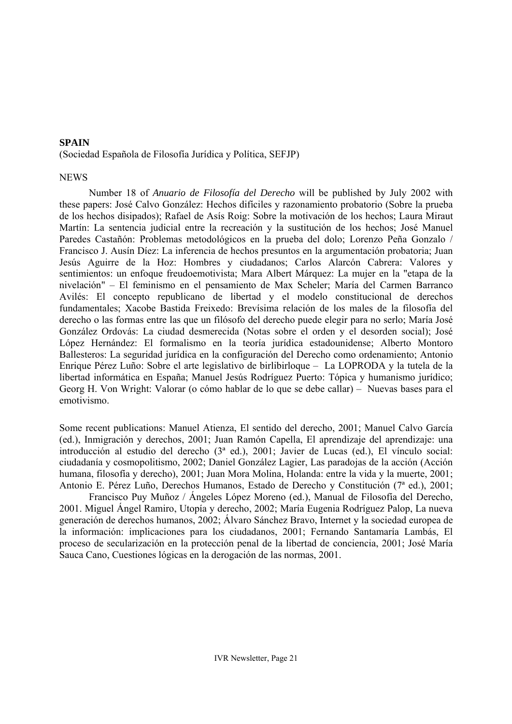## **SPAIN**

(Sociedad Española de Filosofía Jurídica y Política, SEFJP)

#### **NEWS**

Number 18 of *Anuario de Filosofía del Derecho* will be published by July 2002 with these papers: José Calvo González: Hechos difíciles y razonamiento probatorio (Sobre la prueba de los hechos disipados); Rafael de Asís Roig: Sobre la motivación de los hechos; Laura Miraut Martín: La sentencia judicial entre la recreación y la sustitución de los hechos; José Manuel Paredes Castañón: Problemas metodológicos en la prueba del dolo; Lorenzo Peña Gonzalo / Francisco J. Ausín Díez: La inferencia de hechos presuntos en la argumentación probatoria; Juan Jesús Aguirre de la Hoz: Hombres y ciudadanos; Carlos Alarcón Cabrera: Valores y sentimientos: un enfoque freudoemotivista; Mara Albert Márquez: La mujer en la "etapa de la nivelación" – El feminismo en el pensamiento de Max Scheler; María del Carmen Barranco Avilés: El concepto republicano de libertad y el modelo constitucional de derechos fundamentales; Xacobe Bastida Freixedo: Brevísima relación de los males de la filosofía del derecho o las formas entre las que un filósofo del derecho puede elegir para no serlo; María José González Ordovás: La ciudad desmerecida (Notas sobre el orden y el desorden social); José López Hernández: El formalismo en la teoría jurídica estadounidense; Alberto Montoro Ballesteros: La seguridad jurídica en la configuración del Derecho como ordenamiento; Antonio Enrique Pérez Luño: Sobre el arte legislativo de birlibirloque – La LOPRODA y la tutela de la libertad informática en España; Manuel Jesús Rodríguez Puerto: Tópica y humanismo jurídico; Georg H. Von Wright: Valorar (o cómo hablar de lo que se debe callar) – Nuevas bases para el emotivismo.

Some recent publications: Manuel Atienza, El sentido del derecho, 2001; Manuel Calvo García (ed.), Inmigración y derechos, 2001; Juan Ramón Capella, El aprendizaje del aprendizaje: una introducción al estudio del derecho (3ª ed.), 2001; Javier de Lucas (ed.), El vínculo social: ciudadanía y cosmopolitismo, 2002; Daniel González Lagier, Las paradojas de la acción (Acción humana, filosofía y derecho), 2001; Juan Mora Molina, Holanda: entre la vida y la muerte, 2001; Antonio E. Pérez Luño, Derechos Humanos, Estado de Derecho y Constitución (7ª ed.), 2001;

 Francisco Puy Muñoz / Ángeles López Moreno (ed.), Manual de Filosofía del Derecho, 2001. Miguel Ángel Ramiro, Utopía y derecho, 2002; María Eugenia Rodríguez Palop, La nueva generación de derechos humanos, 2002; Álvaro Sánchez Bravo, Internet y la sociedad europea de la información: implicaciones para los ciudadanos, 2001; Fernando Santamaría Lambás, El proceso de secularización en la protección penal de la libertad de conciencia, 2001; José María Sauca Cano, Cuestiones lógicas en la derogación de las normas, 2001.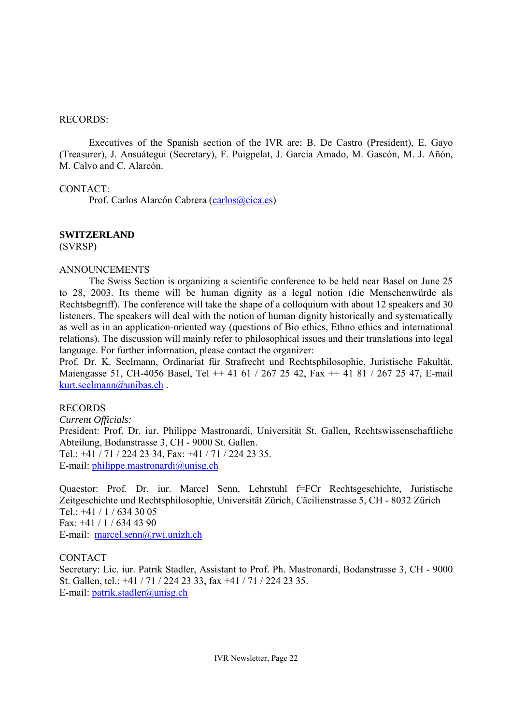#### RECORDS:

 Executives of the Spanish section of the IVR are: B. De Castro (President), E. Gayo (Treasurer), J. Ansuátegui (Secretary), F. Puigpelat, J. García Amado, M. Gascón, M. J. Añón, M. Calvo and C. Alarcón.

## CONTACT:

Prof. Carlos Alarcón Cabrera (carlos@cica.es)

## **SWITZERLAND**

(SVRSP)

#### ANNOUNCEMENTS

 The Swiss Section is organizing a scientific conference to be held near Basel on June 25 to 28, 2003. Its theme will be human dignity as a legal notion (die Menschenwürde als Rechtsbegriff). The conference will take the shape of a colloquium with about 12 speakers and 30 listeners. The speakers will deal with the notion of human dignity historically and systematically as well as in an application-oriented way (questions of Bio ethics, Ethno ethics and international relations). The discussion will mainly refer to philosophical issues and their translations into legal language. For further information, please contact the organizer:

Prof. Dr. K. Seelmann, Ordinariat für Strafrecht und Rechtsphilosophie, Juristische Fakultät, Maiengasse 51, CH-4056 Basel, Tel ++ 41 61 / 267 25 42, Fax ++ 41 81 / 267 25 47, E-mail kurt.seelmann@unibas.ch.

## RECORDS

*Current Officials:*  President: Prof. Dr. iur. Philippe Mastronardi, Universität St. Gallen, Rechtswissenschaftliche Abteilung, Bodanstrasse 3, CH - 9000 St. Gallen. Tel.: +41 / 71 / 224 23 34, Fax: +41 / 71 / 224 23 35. E-mail: philippe.mastronardi@unisg.ch

Quaestor: Prof. Dr. iur. Marcel Senn, Lehrstuhl f=FCr Rechtsgeschichte, Juristische Zeitgeschichte und Rechtsphilosophie, Universität Zürich, Cäcilienstrasse 5, CH - 8032 Zürich Tel.: +41 / 1 / 634 30 05 Fax: +41 / 1 / 634 43 90 E-mail: marcel.senn@rwi.unizh.ch

## CONTACT

Secretary: Lic. iur. Patrik Stadler, Assistant to Prof. Ph. Mastronardi, Bodanstrasse 3, CH - 9000 St. Gallen, tel.: +41 / 71 / 224 23 33, fax +41 / 71 / 224 23 35. E-mail: patrik.stadler@unisg.ch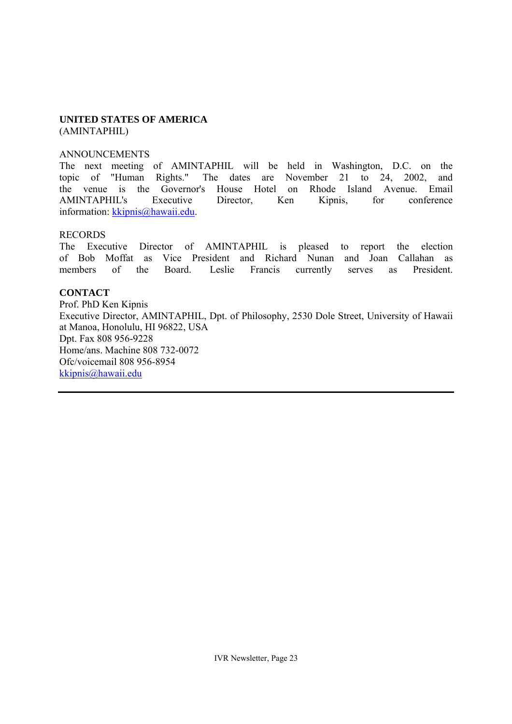#### **UNITED STATES OF AMERICA**  (AMINTAPHIL)

#### ANNOUNCEMENTS

The next meeting of AMINTAPHIL will be held in Washington, D.C. on the topic of "Human Rights." The dates are November 21 to 24, 2002, and the venue is the Governor's House Hotel on Rhode Island Avenue. Email AMINTAPHIL's Executive Director, Ken Kipnis, for conference information: kkipnis@hawaii.edu.

#### RECORDS

The Executive Director of AMINTAPHIL is pleased to report the election of Bob Moffat as Vice President and Richard Nunan and Joan Callahan as members of the Board. Leslie Francis currently serves as President.

# **CONTACT**

Prof. PhD Ken Kipnis Executive Director, AMINTAPHIL, Dpt. of Philosophy, 2530 Dole Street, University of Hawaii at Manoa, Honolulu, HI 96822, USA Dpt. Fax 808 956-9228 Home/ans. Machine 808 732-0072 Ofc/voicemail 808 956-8954 kkipnis@hawaii.edu